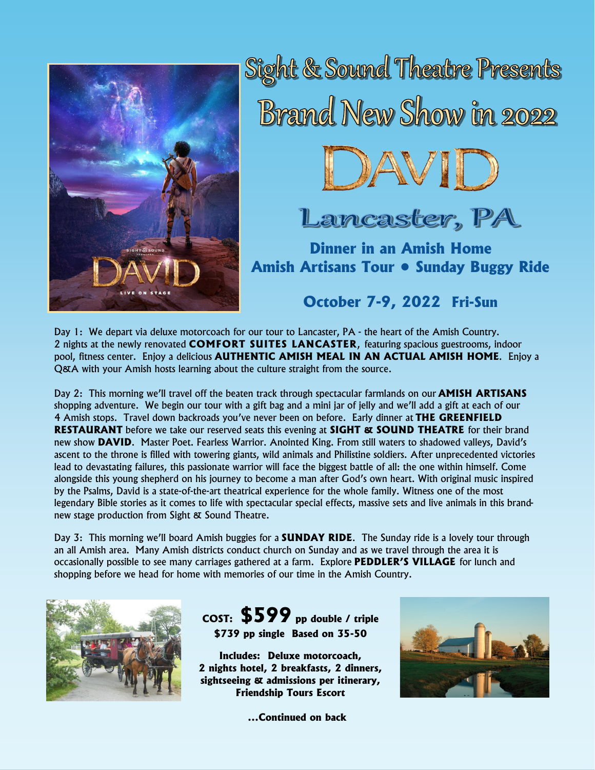

Sight & Sound Theatre Presents Brand New Show in 2022



Lancaster, PA

**Dinner in an Amish Home Amish Artisans Tour • Sunday Buggy Ride**

**October 7-9, 2022 Fri-Sun**

Day 1: We depart via deluxe motorcoach for our tour to Lancaster, PA - the heart of the Amish Country. 2 nights at the newly renovated **COMFORT SUITES LANCASTER**, featuring spacious guestrooms, indoor pool, fitness center. Enjoy a delicious **AUTHENTIC AMISH MEAL IN AN ACTUAL AMISH HOME**. Enjoy a Q&A with your Amish hosts learning about the culture straight from the source.

Day 2: This morning we'll travel off the beaten track through spectacular farmlands on our **AMISH ARTISANS**  shopping adventure. We begin our tour with a gift bag and a mini jar of jelly and we'll add a gift at each of our 4 Amish stops. Travel down backroads you've never been on before. Early dinner at **THE GREENFIELD RESTAURANT** before we take our reserved seats this evening at **SIGHT & SOUND THEATRE** for their brand new show **DAVID**. Master Poet. Fearless Warrior. Anointed King. From still waters to shadowed valleys, David's ascent to the throne is filled with towering giants, wild animals and Philistine soldiers. After unprecedented victories lead to devastating failures, this passionate warrior will face the biggest battle of all: the one within himself. Come alongside this young shepherd on his journey to become a man after God's own heart. With original music inspired by the Psalms, David is a state-of-the-art theatrical experience for the whole family. Witness one of the most legendary Bible stories as it comes to life with spectacular special effects, massive sets and live animals in this brandnew stage production from Sight & Sound Theatre.

Day 3: This morning we'll board Amish buggies for a **SUNDAY RIDE**. The Sunday ride is a lovely tour through an all Amish area. Many Amish districts conduct church on Sunday and as we travel through the area it is occasionally possible to see many carriages gathered at a farm. Explore **PEDDLER'S VILLAGE** for lunch and shopping before we head for home with memories of our time in the Amish Country.



**COST: \$599 pp double / triple \$739 pp single Based on 35-50**

**Includes: Deluxe motorcoach, 2 nights hotel, 2 breakfasts, 2 dinners, sightseeing & admissions per itinerary, Friendship Tours Escort**



**...Continued on back**